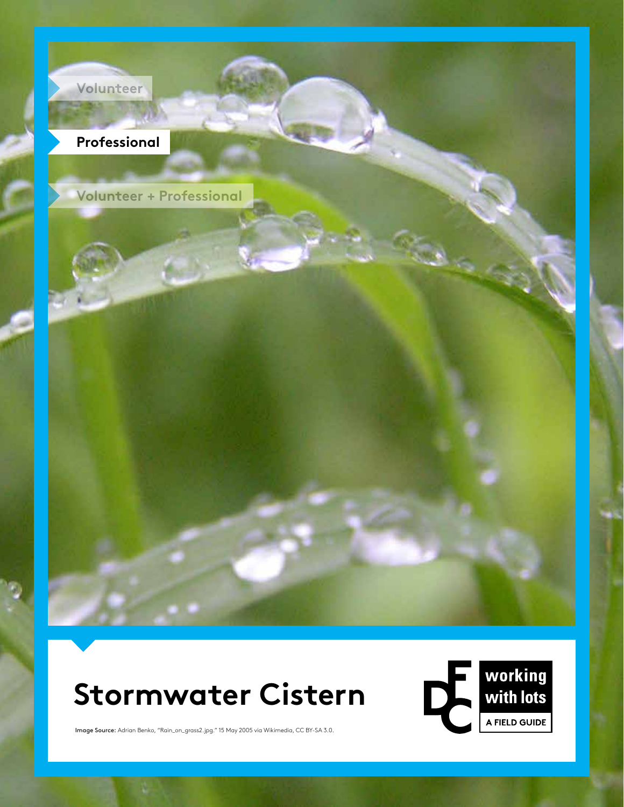

# **Stormwater Cistern**



Image Source: Adrian Benko, "Rain\_on\_grass2.jpg." 15 May 2005 via Wikimedia, CC BY-SA 3.0.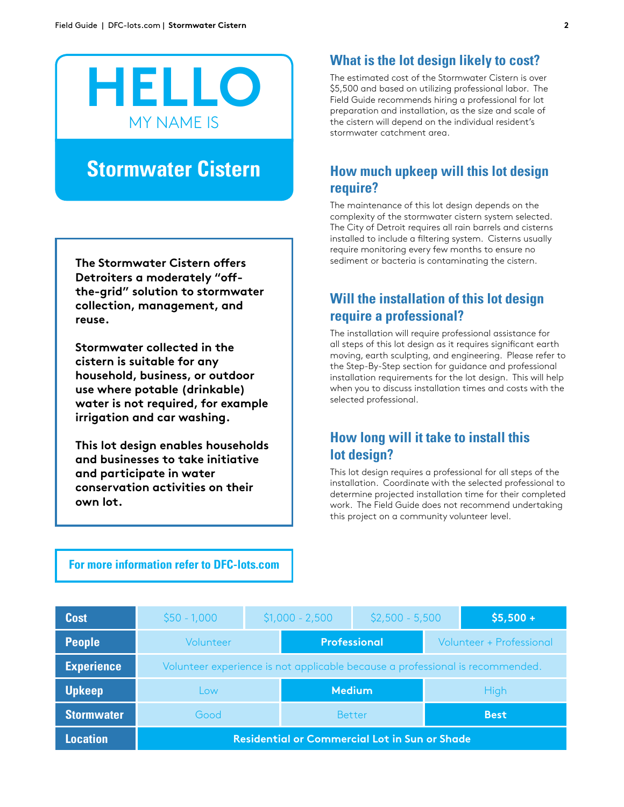

## **Stormwater Cistern**

**The Stormwater Cistern offers Detroiters a moderately "offthe-grid" solution to stormwater collection, management, and reuse.**

**Stormwater collected in the cistern is suitable for any household, business, or outdoor use where potable (drinkable) water is not required, for example irrigation and car washing.**

**This lot design enables households and businesses to take initiative and participate in water conservation activities on their own lot.**

#### **What is the lot design likely to cost?**

The estimated cost of the Stormwater Cistern is over \$5,500 and based on utilizing professional labor. The Field Guide recommends hiring a professional for lot preparation and installation, as the size and scale of the cistern will depend on the individual resident's stormwater catchment area.

#### **How much upkeep will this lot design require?**

The maintenance of this lot design depends on the complexity of the stormwater cistern system selected. The City of Detroit requires all rain barrels and cisterns installed to include a filtering system. Cisterns usually require monitoring every few months to ensure no sediment or bacteria is contaminating the cistern.

#### **Will the installation of this lot design require a professional?**

The installation will require professional assistance for all steps of this lot design as it requires significant earth moving, earth sculpting, and engineering. Please refer to the Step-By-Step section for guidance and professional installation requirements for the lot design. This will help when you to discuss installation times and costs with the selected professional.

#### **How long will it take to install this lot design?**

This lot design requires a professional for all steps of the installation. Coordinate with the selected professional to determine projected installation time for their completed work. The Field Guide does not recommend undertaking this project on a community volunteer level.

#### **For more information refer to DFC-lots.com**

| <b>Cost</b>       | $$50 - 1,000$                                                                 | $$1,000 - 2,500$    |               | $$2,500 - 5,500$                |             | $$5,500 +$ |
|-------------------|-------------------------------------------------------------------------------|---------------------|---------------|---------------------------------|-------------|------------|
| <b>People</b>     | Volunteer                                                                     | <b>Professional</b> |               | <b>Volunteer + Professional</b> |             |            |
| <b>Experience</b> | Volunteer experience is not applicable because a professional is recommended. |                     |               |                                 |             |            |
| <b>Upkeep</b>     | Low                                                                           |                     | <b>Medium</b> |                                 | <b>High</b> |            |
| <b>Stormwater</b> | Good                                                                          |                     | <b>Better</b> |                                 | <b>Best</b> |            |
| <b>Location</b>   | <b>Residential or Commercial Lot in Sun or Shade</b>                          |                     |               |                                 |             |            |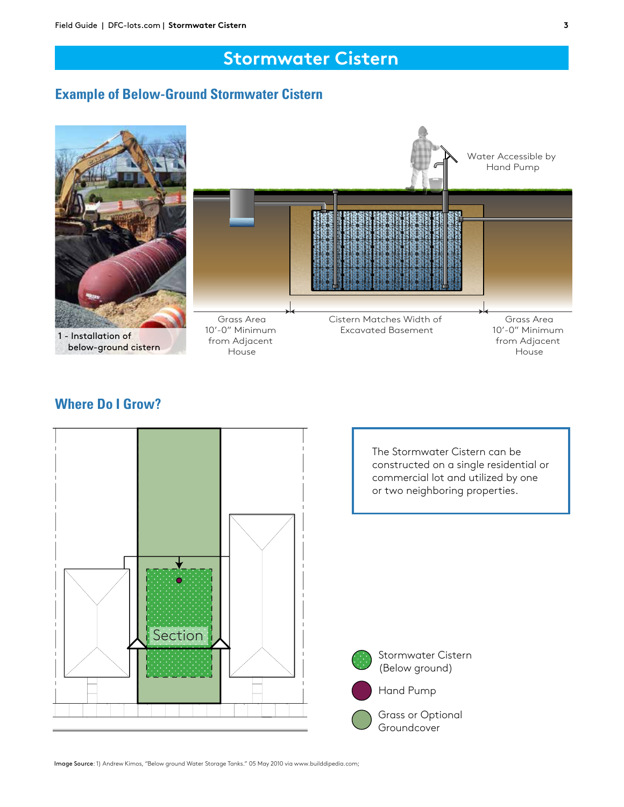## **Stormwater Cistern**

#### **Example of Below-Ground Stormwater Cistern**



#### **Where Do I Grow?**



The Stormwater Cistern can be constructed on a single residential or commercial lot and utilized by one or two neighboring properties.



Stormwater Cistern (Below ground)

Grass or Optional Groundcover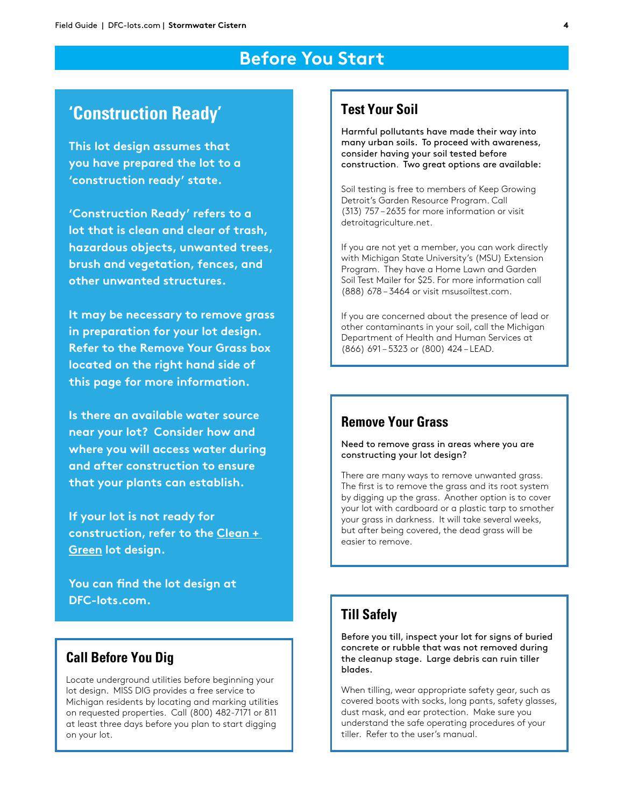## **Before You Start**

## **'Construction Ready'**

**This lot design assumes that you have prepared the lot to a 'construction ready' state.**

**'Construction Ready' refers to a lot that is clean and clear of trash, hazardous objects, unwanted trees, brush and vegetation, fences, and other unwanted structures.** 

**It may be necessary to remove grass in preparation for your lot design. Refer to the Remove Your Grass box located on the right hand side of this page for more information.**

**Is there an available water source near your lot? Consider how and where you will access water during and after construction to ensure that your plants can establish.** 

**If your lot is not ready for construction, refer to the Clean + Green lot design.**

**You can find the lot design at DFC-lots.com.**

#### **Call Before You Dig**

Locate underground utilities before beginning your lot design. MISS DIG provides a free service to Michigan residents by locating and marking utilities on requested properties. Call (800) 482-7171 or 811 at least three days before you plan to start digging on your lot.

#### **Test Your Soil**

Harmful pollutants have made their way into many urban soils. To proceed with awareness, consider having your soil tested before construction. Two great options are available:

Soil testing is free to members of Keep Growing Detroit's Garden Resource Program. Call (313) 757 – 2635 for more information or visit detroitagriculture.net.

If you are not yet a member, you can work directly with Michigan State University's (MSU) Extension Program. They have a Home Lawn and Garden Soil Test Mailer for \$25. For more information call (888) 678 – 3464 or visit msusoiltest.com.

If you are concerned about the presence of lead or other contaminants in your soil, call the Michigan Department of Health and Human Services at (866) 691 – 5323 or (800) 424 – LEAD.

#### **Remove Your Grass**

Need to remove grass in areas where you are constructing your lot design?

There are many ways to remove unwanted grass. The first is to remove the grass and its root system by digging up the grass. Another option is to cover your lot with cardboard or a plastic tarp to smother your grass in darkness. It will take several weeks, but after being covered, the dead grass will be easier to remove.

#### **Till Safely**

Before you till, inspect your lot for signs of buried concrete or rubble that was not removed during the cleanup stage. Large debris can ruin tiller blades.

When tilling, wear appropriate safety gear, such as covered boots with socks, long pants, safety glasses, dust mask, and ear protection. Make sure you understand the safe operating procedures of your tiller. Refer to the user's manual.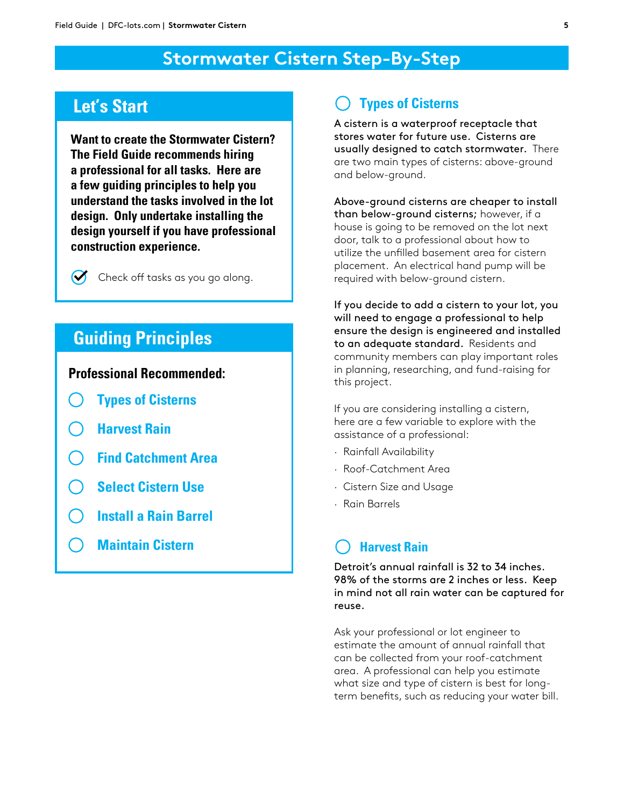## **Stormwater Cistern Step-By-Step**

## **Let's Start**

**Want to create the Stormwater Cistern? The Field Guide recommends hiring a professional for all tasks. Here are a few guiding principles to help you understand the tasks involved in the lot design. Only undertake installing the design yourself if you have professional construction experience.**

 $\mathcal{U}$ Check off tasks as you go along.

## **Guiding Principles**

**Professional Recommended:** 

- **Types of Cisterns**
- **Harvest Rain**
- **Find Catchment Area**
- **Select Cistern Use**
- **Install a Rain Barrel**
- **Maintain Cistern**

#### **Types of Cisterns**

A cistern is a waterproof receptacle that stores water for future use. Cisterns are usually designed to catch stormwater. There are two main types of cisterns: above-ground and below-ground.

Above-ground cisterns are cheaper to install than below-ground cisterns; however, if a house is going to be removed on the lot next door, talk to a professional about how to utilize the unfilled basement area for cistern placement. An electrical hand pump will be required with below-ground cistern.

If you decide to add a cistern to your lot, you will need to engage a professional to help ensure the design is engineered and installed to an adequate standard. Residents and community members can play important roles in planning, researching, and fund-raising for this project.

If you are considering installing a cistern, here are a few variable to explore with the assistance of a professional:

- · Rainfall Availability
- · Roof-Catchment Area
- · Cistern Size and Usage
- · Rain Barrels

#### **Harvest Rain**

Detroit's annual rainfall is 32 to 34 inches. 98% of the storms are 2 inches or less. Keep in mind not all rain water can be captured for reuse.

Ask your professional or lot engineer to estimate the amount of annual rainfall that can be collected from your roof-catchment area. A professional can help you estimate what size and type of cistern is best for longterm benefits, such as reducing your water bill.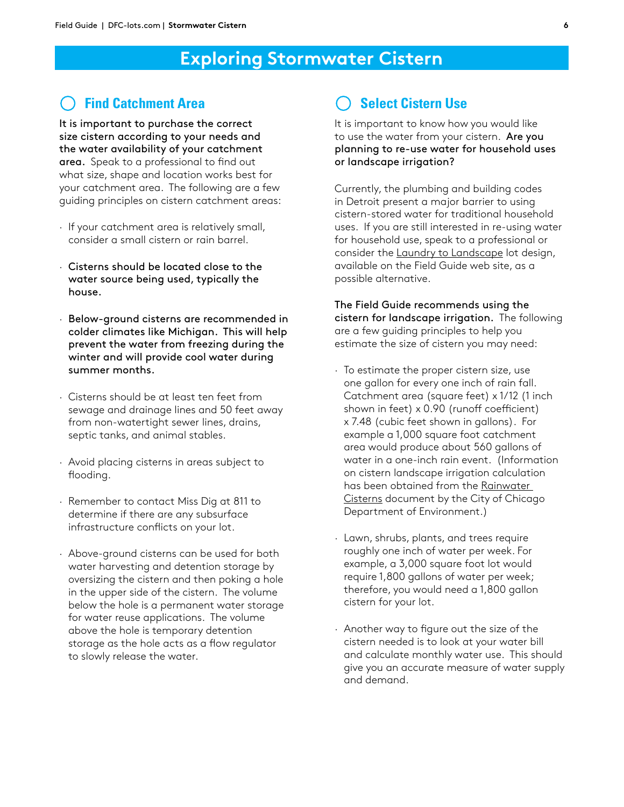## **Exploring Stormwater Cistern**

#### **Find Catchment Area**

It is important to purchase the correct size cistern according to your needs and the water availability of your catchment area. Speak to a professional to find out what size, shape and location works best for your catchment area. The following are a few guiding principles on cistern catchment areas:

- · If your catchment area is relatively small, consider a small cistern or rain barrel.
- · Cisterns should be located close to the water source being used, typically the house.
- · Below-ground cisterns are recommended in colder climates like Michigan. This will help prevent the water from freezing during the winter and will provide cool water during summer months.
- · Cisterns should be at least ten feet from sewage and drainage lines and 50 feet away from non-watertight sewer lines, drains, septic tanks, and animal stables.
- · Avoid placing cisterns in areas subject to flooding.
- · Remember to contact Miss Dig at 811 to determine if there are any subsurface infrastructure conflicts on your lot.
- · Above-ground cisterns can be used for both water harvesting and detention storage by oversizing the cistern and then poking a hole in the upper side of the cistern. The volume below the hole is a permanent water storage for water reuse applications. The volume above the hole is temporary detention storage as the hole acts as a flow regulator to slowly release the water.

## **Select Cistern Use**

It is important to know how you would like to use the water from your cistern. Are you planning to re-use water for household uses or landscape irrigation?

Currently, the plumbing and building codes in Detroit present a major barrier to using cistern-stored water for traditional household uses. If you are still interested in re-using water for household use, speak to a professional or consider the **Laundry to Landscape** lot design, available on the Field Guide web site, as a possible alternative.

The Field Guide recommends using the cistern for landscape irrigation. The following are a few guiding principles to help you estimate the size of cistern you may need:

- · To estimate the proper cistern size, use one gallon for every one inch of rain fall. Catchment area (square feet) x 1/12 (1 inch shown in feet) x 0.90 (runoff coefficient) x 7.48 (cubic feet shown in gallons). For example a 1,000 square foot catchment area would produce about 560 gallons of water in a one-inch rain event. (Information on cistern landscape irrigation calculation has been obtained from the Rainwater Cisterns document by the City of Chicago Department of Environment.)
- · Lawn, shrubs, plants, and trees require roughly one inch of water per week. For example, a 3,000 square foot lot would require 1,800 gallons of water per week; therefore, you would need a 1,800 gallon cistern for your lot.
- · Another way to figure out the size of the cistern needed is to look at your water bill and calculate monthly water use. This should give you an accurate measure of water supply and demand.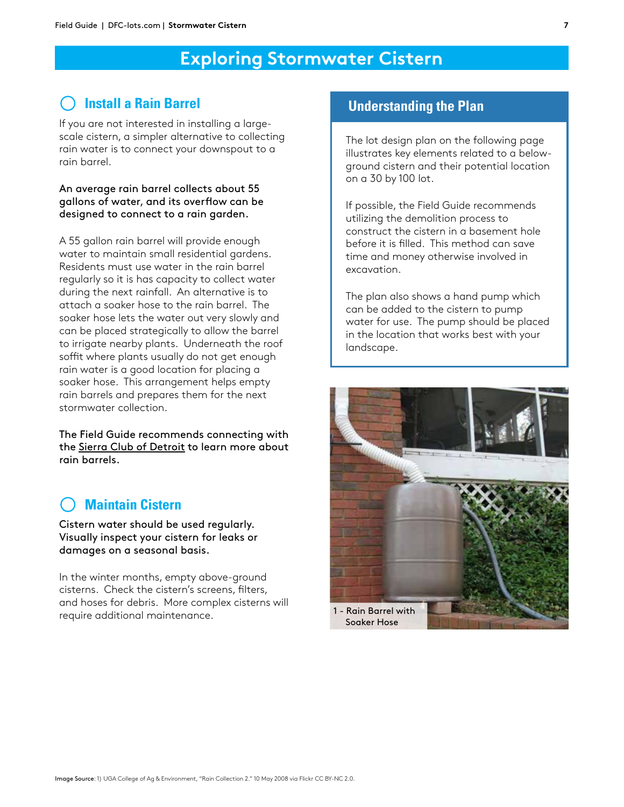## **Exploring Stormwater Cistern**

## **Install a Rain Barrel**

If you are not interested in installing a largescale cistern, a simpler alternative to collecting rain water is to connect your downspout to a rain barrel.

#### An average rain barrel collects about 55 gallons of water, and its overflow can be designed to connect to a rain garden.

A 55 gallon rain barrel will provide enough water to maintain small residential gardens. Residents must use water in the rain barrel regularly so it is has capacity to collect water during the next rainfall. An alternative is to attach a soaker hose to the rain barrel. The soaker hose lets the water out very slowly and can be placed strategically to allow the barrel to irrigate nearby plants. Underneath the roof soffit where plants usually do not get enough rain water is a good location for placing a soaker hose. This arrangement helps empty rain barrels and prepares them for the next stormwater collection.

The Field Guide recommends connecting with the Sierra Club of Detroit to learn more about rain barrels.

## **Maintain Cistern**

Cistern water should be used regularly. Visually inspect your cistern for leaks or damages on a seasonal basis.

In the winter months, empty above-ground cisterns. Check the cistern's screens, filters, and hoses for debris. More complex cisterns will require additional maintenance.

#### **Understanding the Plan**

The lot design plan on the following page illustrates key elements related to a belowground cistern and their potential location on a 30 by 100 lot.

If possible, the Field Guide recommends utilizing the demolition process to construct the cistern in a basement hole before it is filled. This method can save time and money otherwise involved in excavation.

The plan also shows a hand pump which can be added to the cistern to pump water for use. The pump should be placed in the location that works best with your landscape.

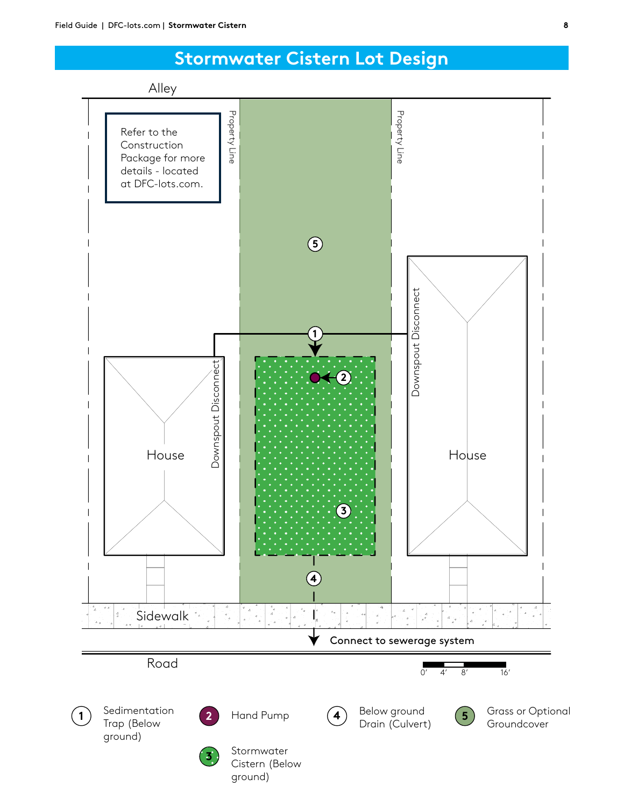## **Stormwater Cistern Lot Design**

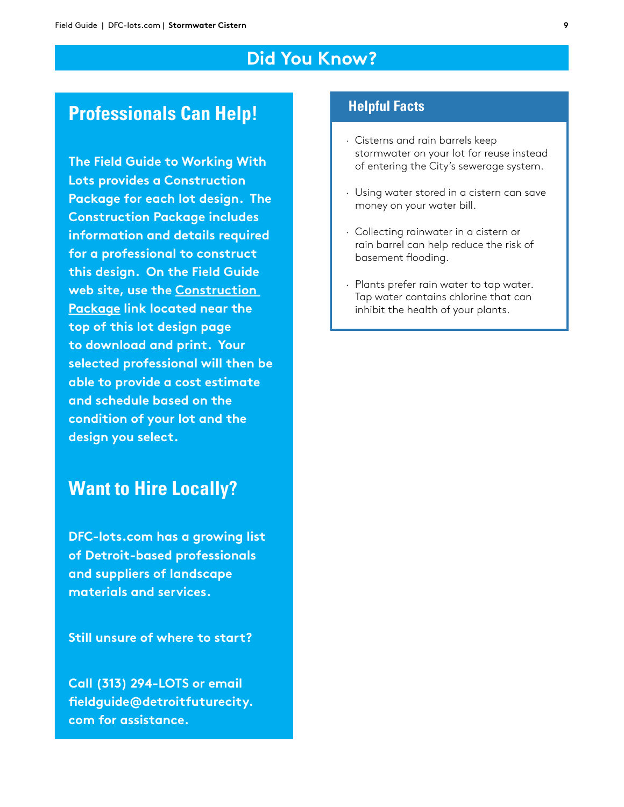## **Did You Know?**

## **Professionals Can Help!**

**The Field Guide to Working With Lots provides a Construction Package for each lot design. The Construction Package includes information and details required for a professional to construct this design. On the Field Guide web site, use the Construction Package link located near the top of this lot design page to download and print. Your selected professional will then be able to provide a cost estimate and schedule based on the condition of your lot and the design you select.**

## **Want to Hire Locally?**

**DFC-lots.com has a growing list of Detroit-based professionals and suppliers of landscape materials and services.**

**Still unsure of where to start?** 

**Call (313) 294-LOTS or email fieldguide@detroitfuturecity. com for assistance.**

#### **Helpful Facts**

- · Cisterns and rain barrels keep stormwater on your lot for reuse instead of entering the City's sewerage system.
- · Using water stored in a cistern can save money on your water bill.
- · Collecting rainwater in a cistern or rain barrel can help reduce the risk of basement flooding.
- · Plants prefer rain water to tap water. Tap water contains chlorine that can inhibit the health of your plants.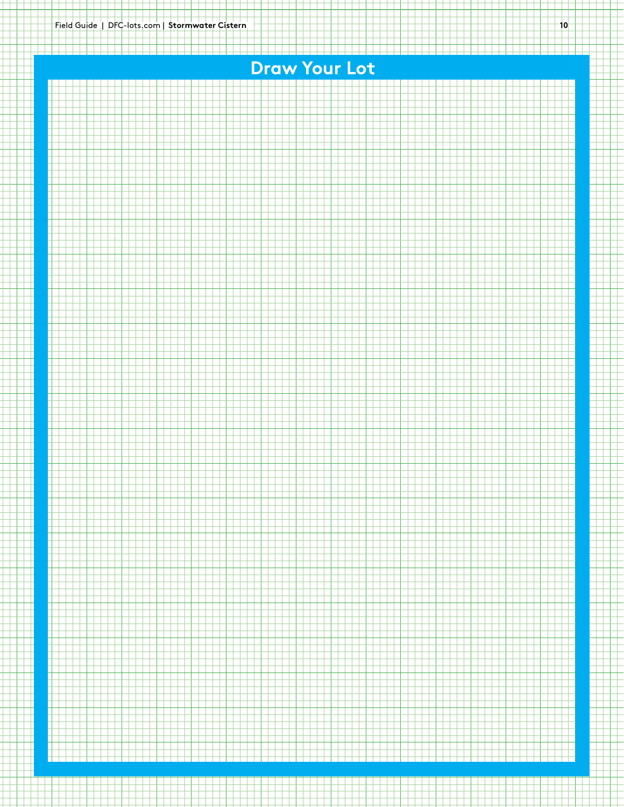# **Draw Your Lot**

<u>, 1989 - 1989 - 1989 - 1989 - 1989 - 1989 - 1989 - 1989 - 1989 - 1989 - 1989 - 1989 - 1989 - 1989 - 1989 - 19</u>

a populati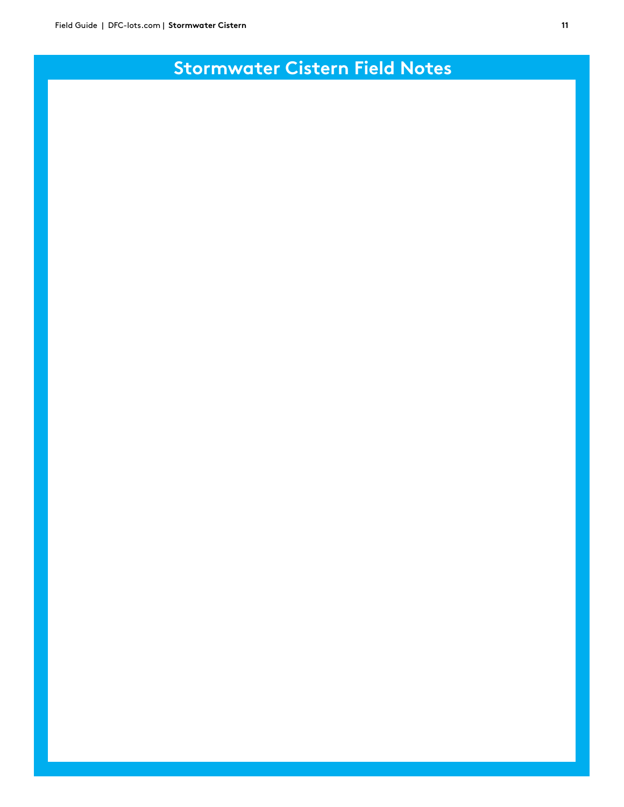## **Stormwater Cistern Field Notes**